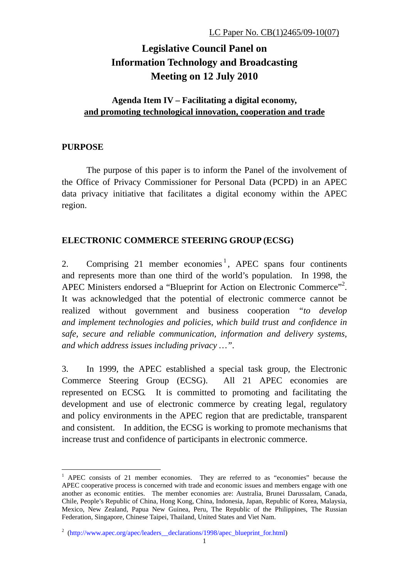# **Legislative Council Panel on Information Technology and Broadcasting Meeting on 12 July 2010**

## **Agenda Item IV – Facilitating a digital economy, and promoting technological innovation, cooperation and trade**

## **PURPOSE**

1

The purpose of this paper is to inform the Panel of the involvement of the Office of Privacy Commissioner for Personal Data (PCPD) in an APEC data privacy initiative that facilitates a digital economy within the APEC region.

## **ELECTRONIC COMMERCE STEERING GROUP (ECSG)**

2. Comprising 21 member economies<sup>1</sup>, APEC spans four continents and represents more than one third of the world's population. In 1998, the APEC Ministers endorsed a "Blueprint for Action on Electronic Commerce"<sup>2</sup>. It was acknowledged that the potential of electronic commerce cannot be realized without government and business cooperation *"to develop and implement technologies and policies, which build trust and confidence in safe, secure and reliable communication, information and delivery systems, and which address issues including privacy …"*.

3. In 1999, the APEC established a special task group, the Electronic Commerce Steering Group (ECSG). All 21 APEC economies are represented on ECSG. It is committed to promoting and facilitating the development and use of electronic commerce by creating legal, regulatory and policy environments in the APEC region that are predictable, transparent and consistent. In addition, the ECSG is working to promote mechanisms that increase trust and confidence of participants in electronic commerce.

<sup>&</sup>lt;sup>1</sup> APEC consists of 21 member economies. They are referred to as "economies" because the APEC cooperative process is concerned with trade and economic issues and members engage with one another as economic entities. The member economies are: Australia, Brunei Darussalam, Canada, Chile, People's Republic of China, Hong Kong, China, Indonesia, Japan, Republic of Korea, Malaysia, Mexico, New Zealand, Papua New Guinea, Peru, The Republic of the Philippines, The Russian Federation, Singapore, Chinese Taipei, Thailand, United States and Viet Nam.

<sup>&</sup>lt;sup>2</sup> (http://www.apec.org/apec/leaders\_declarations/1998/apec\_blueprint\_for.html)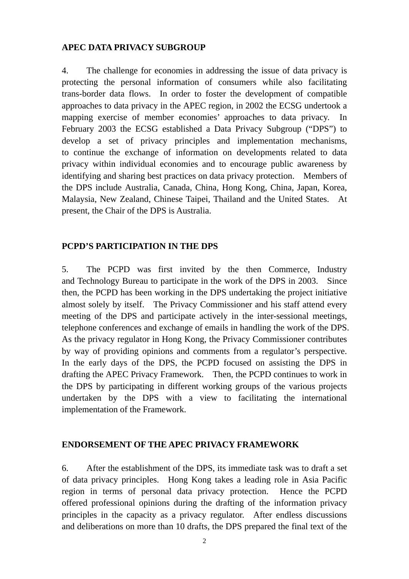#### **APEC DATA PRIVACY SUBGROUP**

4. The challenge for economies in addressing the issue of data privacy is protecting the personal information of consumers while also facilitating trans-border data flows. In order to foster the development of compatible approaches to data privacy in the APEC region, in 2002 the ECSG undertook a mapping exercise of member economies' approaches to data privacy. In February 2003 the ECSG established a Data Privacy Subgroup ("DPS") to develop a set of privacy principles and implementation mechanisms, to continue the exchange of information on developments related to data privacy within individual economies and to encourage public awareness by identifying and sharing best practices on data privacy protection. Members of the DPS include Australia, Canada, China, Hong Kong, China, Japan, Korea, Malaysia, New Zealand, Chinese Taipei, Thailand and the United States. At present, the Chair of the DPS is Australia.

#### **PCPD'S PARTICIPATION IN THE DPS**

5. The PCPD was first invited by the then Commerce, Industry and Technology Bureau to participate in the work of the DPS in 2003. Since then, the PCPD has been working in the DPS undertaking the project initiative almost solely by itself. The Privacy Commissioner and his staff attend every meeting of the DPS and participate actively in the inter-sessional meetings, telephone conferences and exchange of emails in handling the work of the DPS. As the privacy regulator in Hong Kong, the Privacy Commissioner contributes by way of providing opinions and comments from a regulator's perspective. In the early days of the DPS, the PCPD focused on assisting the DPS in drafting the APEC Privacy Framework. Then, the PCPD continues to work in the DPS by participating in different working groups of the various projects undertaken by the DPS with a view to facilitating the international implementation of the Framework.

#### **ENDORSEMENT OF THE APEC PRIVACY FRAMEWORK**

6. After the establishment of the DPS, its immediate task was to draft a set of data privacy principles. Hong Kong takes a leading role in Asia Pacific region in terms of personal data privacy protection. Hence the PCPD offered professional opinions during the drafting of the information privacy principles in the capacity as a privacy regulator. After endless discussions and deliberations on more than 10 drafts, the DPS prepared the final text of the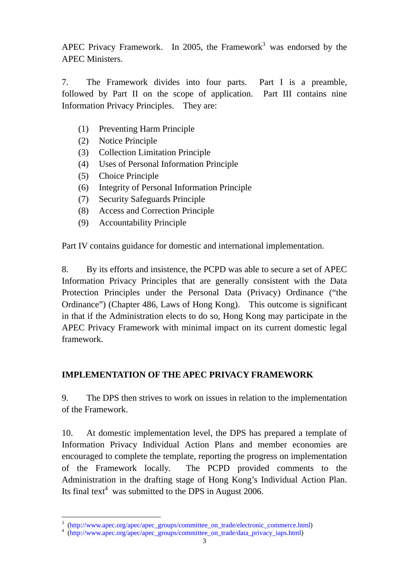APEC Privacy Framework. In 2005, the Framework<sup>3</sup> was endorsed by the APEC Ministers.

7. The Framework divides into four parts. Part I is a preamble, followed by Part II on the scope of application. Part III contains nine Information Privacy Principles. They are:

- (1) Preventing Harm Principle
- (2) Notice Principle
- (3) Collection Limitation Principle
- (4) Uses of Personal Information Principle
- (5) Choice Principle
- (6) Integrity of Personal Information Principle
- (7) Security Safeguards Principle
- (8) Access and Correction Principle
- (9) Accountability Principle

Part IV contains guidance for domestic and international implementation.

8. By its efforts and insistence, the PCPD was able to secure a set of APEC Information Privacy Principles that are generally consistent with the Data Protection Principles under the Personal Data (Privacy) Ordinance ("the Ordinance") (Chapter 486, Laws of Hong Kong). This outcome is significant in that if the Administration elects to do so, Hong Kong may participate in the APEC Privacy Framework with minimal impact on its current domestic legal framework.

## **IMPLEMENTATION OF THE APEC PRIVACY FRAMEWORK**

9. The DPS then strives to work on issues in relation to the implementation of the Framework.

10. At domestic implementation level, the DPS has prepared a template of Information Privacy Individual Action Plans and member economies are encouraged to complete the template, reporting the progress on implementation of the Framework locally. The PCPD provided comments to the Administration in the drafting stage of Hong Kong's Individual Action Plan. Its final text<sup>4</sup> was submitted to the DPS in August 2006.

 3 (http://www.apec.org/apec/apec\_groups/committee\_on\_trade/electronic\_commerce.html) 4 (http://www.apec.org/apec/apec\_groups/committee\_on\_trade/data\_privacy\_iaps.html)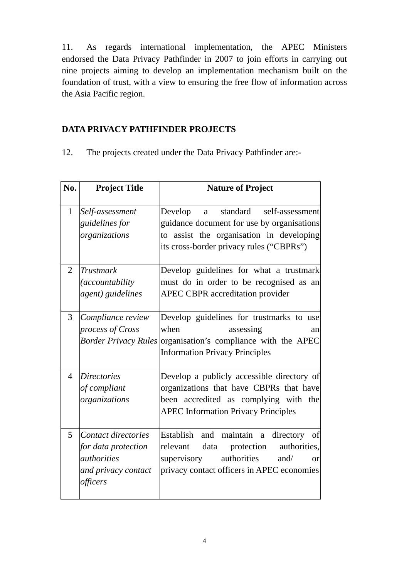11. As regards international implementation, the APEC Ministers endorsed the Data Privacy Pathfinder in 2007 to join efforts in carrying out nine projects aiming to develop an implementation mechanism built on the foundation of trust, with a view to ensuring the free flow of information across the Asia Pacific region.

# **DATA PRIVACY PATHFINDER PROJECTS**

12. The projects created under the Data Privacy Pathfinder are:-

| No.            | <b>Project Title</b>                                                                                | <b>Nature of Project</b>                                                                                                                                                                          |
|----------------|-----------------------------------------------------------------------------------------------------|---------------------------------------------------------------------------------------------------------------------------------------------------------------------------------------------------|
| $\mathbf{1}$   | Self-assessment<br>guidelines for<br>organizations                                                  | standard self-assessment<br>Develop<br>a<br>guidance document for use by organisations<br>assist the organisation in developing<br>to<br>its cross-border privacy rules ("CBPRs")                 |
| $\overline{2}$ | <b>Trustmark</b><br><i>(accountability</i><br>agent) guidelines                                     | Develop guidelines for what a trustmark<br>must do in order to be recognised as an<br><b>APEC CBPR</b> accreditation provider                                                                     |
| 3              | Compliance review<br>process of Cross<br><b>Border Privacy Rules</b>                                | Develop guidelines for trustmarks to use<br>when<br>assessing<br>an<br>organisation's compliance with the APEC<br><b>Information Privacy Principles</b>                                           |
| $\overline{4}$ | <b>Directories</b><br>of compliant<br>organizations                                                 | Develop a publicly accessible directory of<br>organizations that have CBPRs that have<br>been accredited as complying with the<br><b>APEC Information Privacy Principles</b>                      |
| 5              | Contact directories<br>for data protection<br><i>authorities</i><br>and privacy contact<br>officers | Establish<br>and maintain a<br>directory<br>of<br>data<br>authorities,<br>relevant<br>protection<br>authorities<br>supervisory<br>and/<br><b>or</b><br>privacy contact officers in APEC economies |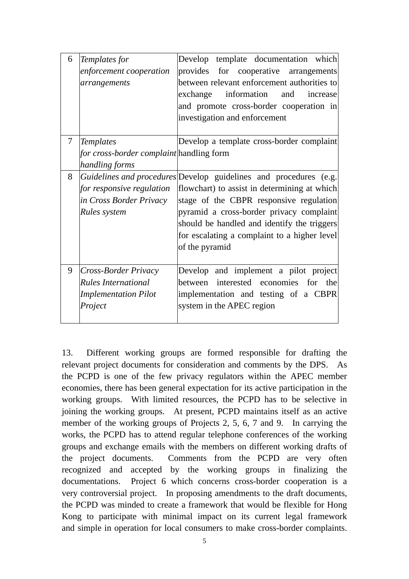| 6      | Templates for<br>enforcement cooperation<br>arrangements                                     | Develop<br>template documentation which<br>provides<br>for cooperative arrangements<br>between relevant enforcement authorities to<br>information<br>exchange<br>and<br>increase<br>and promote cross-border cooperation in<br>investigation and enforcement                                                              |
|--------|----------------------------------------------------------------------------------------------|---------------------------------------------------------------------------------------------------------------------------------------------------------------------------------------------------------------------------------------------------------------------------------------------------------------------------|
| $\tau$ | <b>Templates</b><br>for cross-border complaint handling form<br>handling forms               | Develop a template cross-border complaint                                                                                                                                                                                                                                                                                 |
| 8      | for responsive regulation<br>in Cross Border Privacy<br>Rules system                         | Guidelines and procedures Develop guidelines and procedures (e.g.<br>flowchart) to assist in determining at which<br>stage of the CBPR responsive regulation<br>pyramid a cross-border privacy complaint<br>should be handled and identify the triggers<br>for escalating a complaint to a higher level<br>of the pyramid |
| 9      | Cross-Border Privacy<br><b>Rules International</b><br><b>Implementation Pilot</b><br>Project | Develop and implement a pilot project<br>between interested economies for the<br>implementation and testing of a CBPR<br>system in the APEC region                                                                                                                                                                        |

13. Different working groups are formed responsible for drafting the relevant project documents for consideration and comments by the DPS. As the PCPD is one of the few privacy regulators within the APEC member economies, there has been general expectation for its active participation in the working groups. With limited resources, the PCPD has to be selective in joining the working groups. At present, PCPD maintains itself as an active member of the working groups of Projects 2, 5, 6, 7 and 9. In carrying the works, the PCPD has to attend regular telephone conferences of the working groups and exchange emails with the members on different working drafts of the project documents. Comments from the PCPD are very often recognized and accepted by the working groups in finalizing the documentations. Project 6 which concerns cross-border cooperation is a very controversial project. In proposing amendments to the draft documents, the PCPD was minded to create a framework that would be flexible for Hong Kong to participate with minimal impact on its current legal framework and simple in operation for local consumers to make cross-border complaints.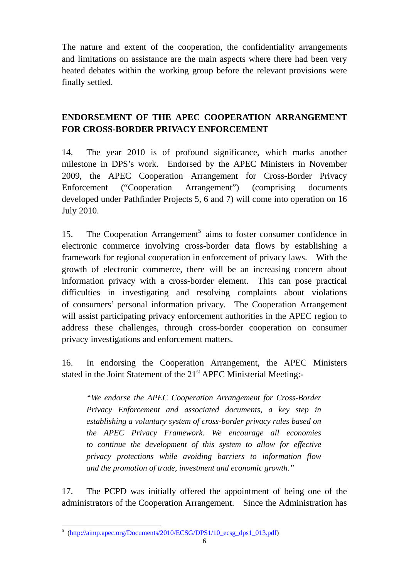The nature and extent of the cooperation, the confidentiality arrangements and limitations on assistance are the main aspects where there had been very heated debates within the working group before the relevant provisions were finally settled.

# **ENDORSEMENT OF THE APEC COOPERATION ARRANGEMENT FOR CROSS-BORDER PRIVACY ENFORCEMENT**

14. The year 2010 is of profound significance, which marks another milestone in DPS's work. Endorsed by the APEC Ministers in November 2009, the APEC Cooperation Arrangement for Cross-Border Privacy Enforcement ("Cooperation Arrangement") (comprising documents developed under Pathfinder Projects 5, 6 and 7) will come into operation on 16 July 2010.

15. The Cooperation Arrangement<sup>5</sup> aims to foster consumer confidence in electronic commerce involving cross-border data flows by establishing a framework for regional cooperation in enforcement of privacy laws. With the growth of electronic commerce, there will be an increasing concern about information privacy with a cross-border element. This can pose practical difficulties in investigating and resolving complaints about violations of consumers' personal information privacy. The Cooperation Arrangement will assist participating privacy enforcement authorities in the APEC region to address these challenges, through cross-border cooperation on consumer privacy investigations and enforcement matters.

16. In endorsing the Cooperation Arrangement, the APEC Ministers stated in the Joint Statement of the 21<sup>st</sup> APEC Ministerial Meeting:-

*"We endorse the APEC Cooperation Arrangement for Cross-Border Privacy Enforcement and associated documents, a key step in establishing a voluntary system of cross-border privacy rules based on the APEC Privacy Framework. We encourage all economies to continue the development of this system to allow for effective privacy protections while avoiding barriers to information flow and the promotion of trade, investment and economic growth."* 

17. The PCPD was initially offered the appointment of being one of the administrators of the Cooperation Arrangement. Since the Administration has

 5 (http://aimp.apec.org/Documents/2010/ECSG/DPS1/10\_ecsg\_dps1\_013.pdf)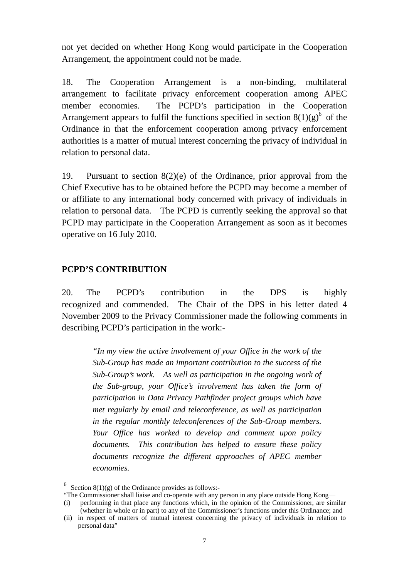not yet decided on whether Hong Kong would participate in the Cooperation Arrangement, the appointment could not be made.

18. The Cooperation Arrangement is a non-binding, multilateral arrangement to facilitate privacy enforcement cooperation among APEC member economies. The PCPD's participation in the Cooperation Arrangement appears to fulfil the functions specified in section  $8(1)(g)^6$  of the Ordinance in that the enforcement cooperation among privacy enforcement authorities is a matter of mutual interest concerning the privacy of individual in relation to personal data.

19. Pursuant to section 8(2)(e) of the Ordinance, prior approval from the Chief Executive has to be obtained before the PCPD may become a member of or affiliate to any international body concerned with privacy of individuals in relation to personal data. The PCPD is currently seeking the approval so that PCPD may participate in the Cooperation Arrangement as soon as it becomes operative on 16 July 2010.

## **PCPD'S CONTRIBUTION**

20. The PCPD's contribution in the DPS is highly recognized and commended. The Chair of the DPS in his letter dated 4 November 2009 to the Privacy Commissioner made the following comments in describing PCPD's participation in the work:-

> *"In my view the active involvement of your Office in the work of the Sub-Group has made an important contribution to the success of the Sub-Group's work. As well as participation in the ongoing work of the Sub-group, your Office's involvement has taken the form of participation in Data Privacy Pathfinder project groups which have met regularly by email and teleconference, as well as participation in the regular monthly teleconferences of the Sub-Group members. Your Office has worked to develop and comment upon policy documents. This contribution has helped to ensure these policy documents recognize the different approaches of APEC member economies.*

<sup>1</sup> <sup>6</sup> Section 8(1)(g) of the Ordinance provides as follows:-

<sup>&</sup>quot;The Commissioner shall liaise and co-operate with any person in any place outside Hong Kong— (i) performing in that place any functions which, in the opinion of the Commissioner, are similar

<sup>(</sup>whether in whole or in part) to any of the Commissioner's functions under this Ordinance; and (ii) in respect of matters of mutual interest concerning the privacy of individuals in relation to personal data"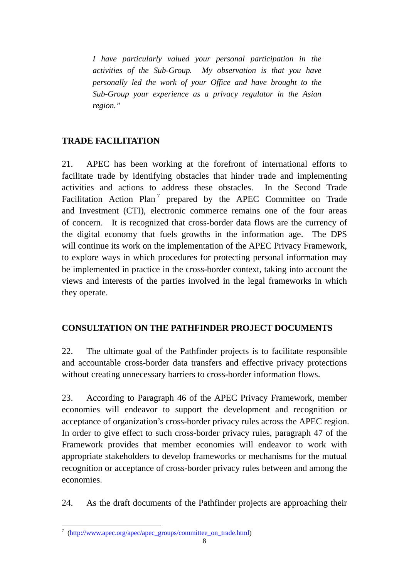*I have particularly valued your personal participation in the activities of the Sub-Group. My observation is that you have personally led the work of your Office and have brought to the Sub-Group your experience as a privacy regulator in the Asian region."* 

## **TRADE FACILITATION**

21. APEC has been working at the forefront of international efforts to facilitate trade by identifying obstacles that hinder trade and implementing activities and actions to address these obstacles. In the Second Trade Facilitation Action Plan<sup>7</sup> prepared by the APEC Committee on Trade and Investment (CTI), electronic commerce remains one of the four areas of concern. It is recognized that cross-border data flows are the currency of the digital economy that fuels growths in the information age. The DPS will continue its work on the implementation of the APEC Privacy Framework, to explore ways in which procedures for protecting personal information may be implemented in practice in the cross-border context, taking into account the views and interests of the parties involved in the legal frameworks in which they operate.

## **CONSULTATION ON THE PATHFINDER PROJECT DOCUMENTS**

22. The ultimate goal of the Pathfinder projects is to facilitate responsible and accountable cross-border data transfers and effective privacy protections without creating unnecessary barriers to cross-border information flows.

23. According to Paragraph 46 of the APEC Privacy Framework, member economies will endeavor to support the development and recognition or acceptance of organization's cross-border privacy rules across the APEC region. In order to give effect to such cross-border privacy rules, paragraph 47 of the Framework provides that member economies will endeavor to work with appropriate stakeholders to develop frameworks or mechanisms for the mutual recognition or acceptance of cross-border privacy rules between and among the economies.

24. As the draft documents of the Pathfinder projects are approaching their

 7 (http://www.apec.org/apec/apec\_groups/committee\_on\_trade.html)